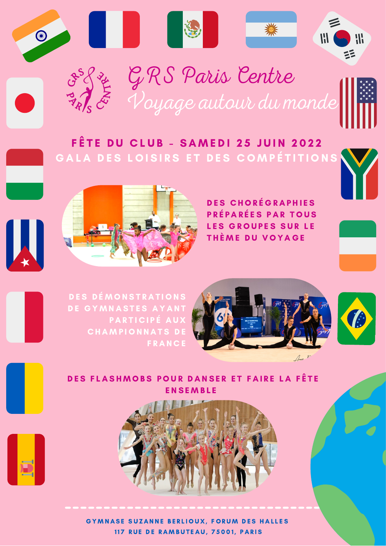

GRS Paris Centre Voyage autour du monde

## FÊTE DU CLUB - SAMEDI 25 JUIN 2022 GALA DES LOISIRS ET DES COMPÉTITIONS



## DES CHORÉGRAPHIES P R É P A R É E S P A R T O U S LES GROUPES SUR LE THÈME DU VOYAGE



DES DÉMONSTRATIONS DE GYMNASTES AYANT PARTICIPÉ AU **CHAMPIONNATS DE F R A N C E** 





DES FLASHMOBS POUR DANSER ET FAIRE LA FÊTE **ENSEMBLE** 



GYMNASE SUZANNE BERLIOUX, FORUM DES HALLES 117 RUE DE RAMBUTEAU, 75001, PARIS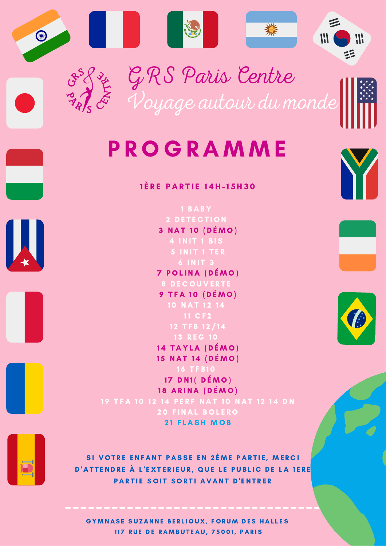

## 1È RE PARTIE 14H-15H30

3 NAT 10 (DÉMO) **7 POLINA (DÉMO)** 9 TFA 10 (DÉMO) 13 REG 10 14 TAYLA (DÉMO) 15 NAT 14 (DÉMO)  $17$  DN1(  $DÉMO$ ) 18 ARINA (DÉMO) **20 FINAL BOLERO 21 FLASH MOB** 





SI VOTRE ENFANT PASSE EN 2ÈME PARTIE, MERCI D'ATTENDRE À L'EXTERIEUR, QUE LE PUBLIC DE LA 1ERE PARTIE SOIT SORTI AVANT D'ENTRER

GYMNASE SUZANNE BERLIOUX, FORUM DES HALLES 117 RUE DE RAMBUTEAU, 75001, PARIS